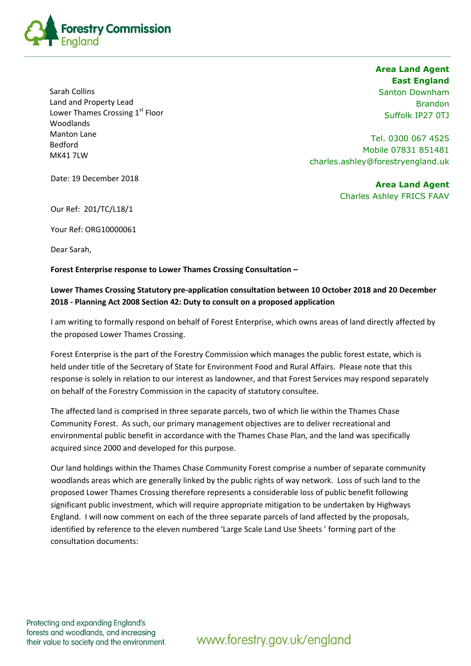

bediord<br>MK41 7LW Sarah Collins Land and Property Lead Lower Thames Crossing 1<sup>st</sup> Floor Woodlands Manton Lane Bedford

**Area Land Agent East England** Santon Downham Brandon Suffolk IP27 0TJ

Tel. 0300 067 4525 Mobile 07831 851481 charles.ashley@forestryengland.uk

Date: 19 December 2018

**Area Land Agent**  Charles Ashley FRICS FAAV

Our Ref: 201/TC/L18/1

Your Ref: ORG10000061

Dear Sarah,

**Forest Enterprise response to Lower Thames Crossing Consultation –**

## **Lower Thames Crossing Statutory pre-application consultation between 10 October 2018 and 20 December 2018 - Planning Act 2008 Section 42: Duty to consult on a proposed application**

I am writing to formally respond on behalf of Forest Enterprise, which owns areas of land directly affected by the proposed Lower Thames Crossing.

Forest Enterprise is the part of the Forestry Commission which manages the public forest estate, which is held under title of the Secretary of State for Environment Food and Rural Affairs. Please note that this response is solely in relation to our interest as landowner, and that Forest Services may respond separately on behalf of the Forestry Commission in the capacity of statutory consultee.

The affected land is comprised in three separate parcels, two of which lie within the Thames Chase Community Forest. As such, our primary management objectives are to deliver recreational and environmental public benefit in accordance with the Thames Chase Plan, and the land was specifically acquired since 2000 and developed for this purpose.

Our land holdings within the Thames Chase Community Forest comprise a number of separate community woodlands areas which are generally linked by the public rights of way network. Loss of such land to the proposed Lower Thames Crossing therefore represents a considerable loss of public benefit following significant public investment, which will require appropriate mitigation to be undertaken by Highways England. I will now comment on each of the three separate parcels of land affected by the proposals, identified by reference to the eleven numbered 'Large Scale Land Use Sheets ' forming part of the consultation documents:

Protecting and expanding England's forests and woodlands, and increasing their value to society and the environment.